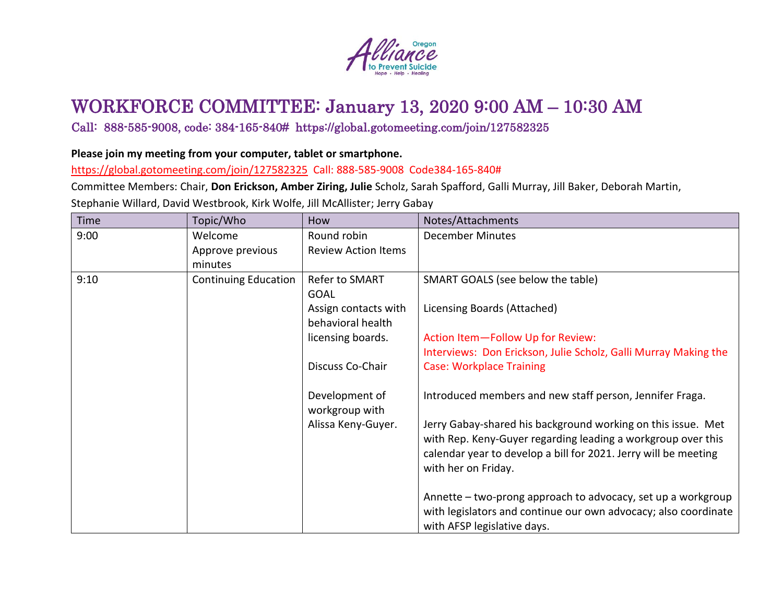

## WORKFORCE COMMITTEE: January 13, 2020 9:00 AM – 10:30 AM

## Call: 888-585-9008, code: 384-165-840# https://global.gotomeeting.com/join/127582325

## **Please join my meeting from your computer, tablet or smartphone.**

<https://global.gotomeeting.com/join/127582325> Call: 888-585-9008 Code384-165-840#

Committee Members: Chair, **Don Erickson, Amber Ziring, Julie** Scholz, Sarah Spafford, Galli Murray, Jill Baker, Deborah Martin, Stephanie Willard, David Westbrook, Kirk Wolfe, Jill McAllister; Jerry Gabay

| <b>Time</b> | Topic/Who                   | How                              | Notes/Attachments                                                                                                                                                                                                      |
|-------------|-----------------------------|----------------------------------|------------------------------------------------------------------------------------------------------------------------------------------------------------------------------------------------------------------------|
| 9:00        | Welcome                     | Round robin                      | <b>December Minutes</b>                                                                                                                                                                                                |
|             | Approve previous            | <b>Review Action Items</b>       |                                                                                                                                                                                                                        |
|             | minutes                     |                                  |                                                                                                                                                                                                                        |
| 9:10        | <b>Continuing Education</b> | Refer to SMART                   | SMART GOALS (see below the table)                                                                                                                                                                                      |
|             |                             | <b>GOAL</b>                      |                                                                                                                                                                                                                        |
|             |                             | Assign contacts with             | Licensing Boards (Attached)                                                                                                                                                                                            |
|             |                             | behavioral health                |                                                                                                                                                                                                                        |
|             |                             | licensing boards.                | Action Item-Follow Up for Review:                                                                                                                                                                                      |
|             |                             |                                  | Interviews: Don Erickson, Julie Scholz, Galli Murray Making the                                                                                                                                                        |
|             |                             | Discuss Co-Chair                 | <b>Case: Workplace Training</b>                                                                                                                                                                                        |
|             |                             | Development of<br>workgroup with | Introduced members and new staff person, Jennifer Fraga.                                                                                                                                                               |
|             |                             | Alissa Keny-Guyer.               | Jerry Gabay-shared his background working on this issue. Met<br>with Rep. Keny-Guyer regarding leading a workgroup over this<br>calendar year to develop a bill for 2021. Jerry will be meeting<br>with her on Friday. |
|             |                             |                                  | Annette - two-prong approach to advocacy, set up a workgroup<br>with legislators and continue our own advocacy; also coordinate<br>with AFSP legislative days.                                                         |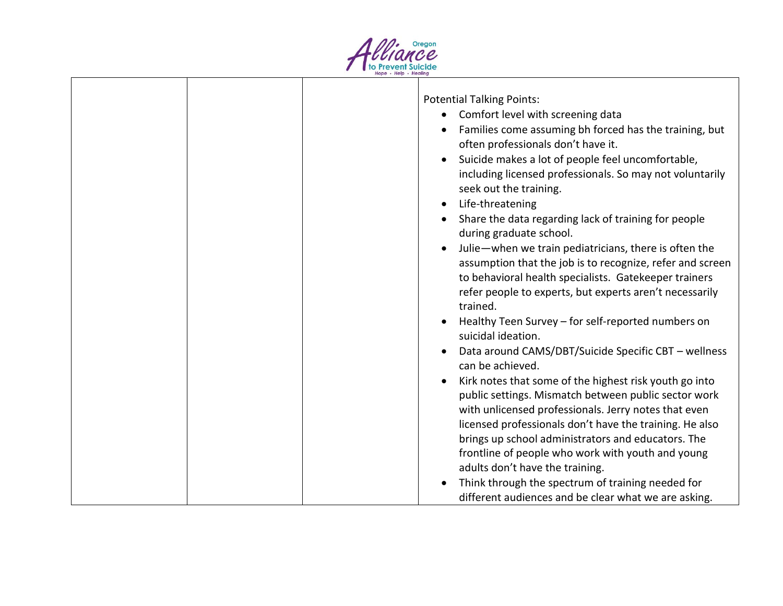

|  | <b>Potential Talking Points:</b>                               |
|--|----------------------------------------------------------------|
|  | Comfort level with screening data<br>$\bullet$                 |
|  | Families come assuming bh forced has the training, but         |
|  | often professionals don't have it.                             |
|  | Suicide makes a lot of people feel uncomfortable,<br>$\bullet$ |
|  | including licensed professionals. So may not voluntarily       |
|  | seek out the training.                                         |
|  | Life-threatening<br>$\bullet$                                  |
|  | Share the data regarding lack of training for people           |
|  | during graduate school.                                        |
|  | Julie-when we train pediatricians, there is often the          |
|  | assumption that the job is to recognize, refer and screen      |
|  | to behavioral health specialists. Gatekeeper trainers          |
|  | refer people to experts, but experts aren't necessarily        |
|  | trained.                                                       |
|  | Healthy Teen Survey - for self-reported numbers on             |
|  | suicidal ideation.                                             |
|  | Data around CAMS/DBT/Suicide Specific CBT - wellness           |
|  | can be achieved.                                               |
|  | Kirk notes that some of the highest risk youth go into         |
|  | public settings. Mismatch between public sector work           |
|  | with unlicensed professionals. Jerry notes that even           |
|  | licensed professionals don't have the training. He also        |
|  | brings up school administrators and educators. The             |
|  | frontline of people who work with youth and young              |
|  | adults don't have the training.                                |
|  | Think through the spectrum of training needed for              |
|  | different audiences and be clear what we are asking.           |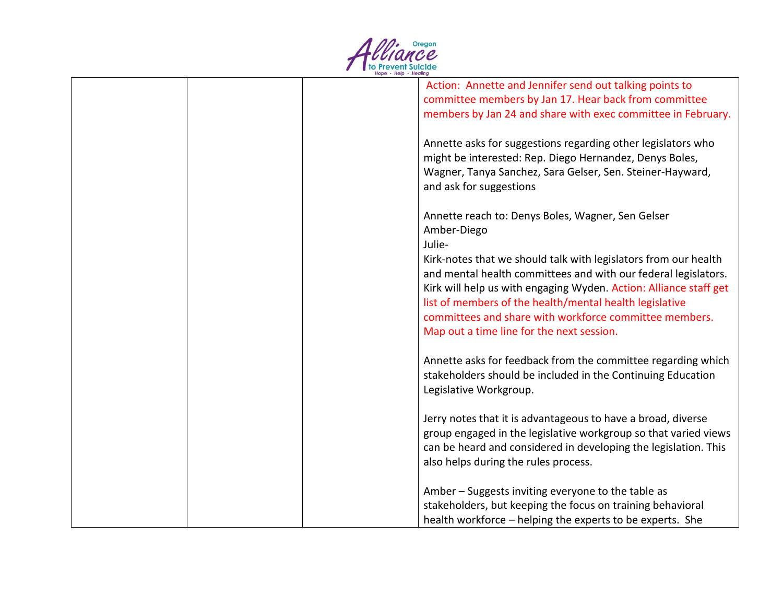

| Action: Annette and Jennifer send out talking points to           |
|-------------------------------------------------------------------|
| committee members by Jan 17. Hear back from committee             |
| members by Jan 24 and share with exec committee in February.      |
|                                                                   |
| Annette asks for suggestions regarding other legislators who      |
| might be interested: Rep. Diego Hernandez, Denys Boles,           |
|                                                                   |
| Wagner, Tanya Sanchez, Sara Gelser, Sen. Steiner-Hayward,         |
| and ask for suggestions                                           |
|                                                                   |
| Annette reach to: Denys Boles, Wagner, Sen Gelser                 |
| Amber-Diego                                                       |
| Julie-                                                            |
| Kirk-notes that we should talk with legislators from our health   |
|                                                                   |
| and mental health committees and with our federal legislators.    |
| Kirk will help us with engaging Wyden. Action: Alliance staff get |
| list of members of the health/mental health legislative           |
| committees and share with workforce committee members.            |
| Map out a time line for the next session.                         |
|                                                                   |
|                                                                   |
| Annette asks for feedback from the committee regarding which      |
| stakeholders should be included in the Continuing Education       |
| Legislative Workgroup.                                            |
|                                                                   |
| Jerry notes that it is advantageous to have a broad, diverse      |
| group engaged in the legislative workgroup so that varied views   |
| can be heard and considered in developing the legislation. This   |
|                                                                   |
| also helps during the rules process.                              |
|                                                                   |
| Amber – Suggests inviting everyone to the table as                |
| stakeholders, but keeping the focus on training behavioral        |
| health workforce - helping the experts to be experts. She         |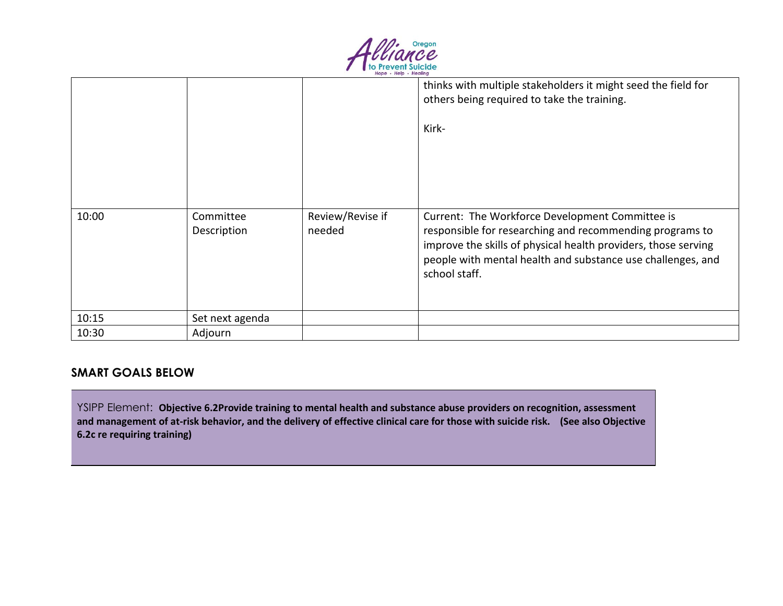

|       |                          |                            | thinks with multiple stakeholders it might seed the field for<br>others being required to take the training.                                                                                                                                                  |
|-------|--------------------------|----------------------------|---------------------------------------------------------------------------------------------------------------------------------------------------------------------------------------------------------------------------------------------------------------|
|       |                          |                            | Kirk-                                                                                                                                                                                                                                                         |
|       |                          |                            |                                                                                                                                                                                                                                                               |
| 10:00 | Committee<br>Description | Review/Revise if<br>needed | Current: The Workforce Development Committee is<br>responsible for researching and recommending programs to<br>improve the skills of physical health providers, those serving<br>people with mental health and substance use challenges, and<br>school staff. |
| 10:15 | Set next agenda          |                            |                                                                                                                                                                                                                                                               |
| 10:30 | Adjourn                  |                            |                                                                                                                                                                                                                                                               |

## **SMART GOALS BELOW**

YSIPP Element: **Objective 6.2Provide training to mental health and substance abuse providers on recognition, assessment and management of at-risk behavior, and the delivery of effective clinical care for those with suicide risk. (See also Objective 6.2c re requiring training)**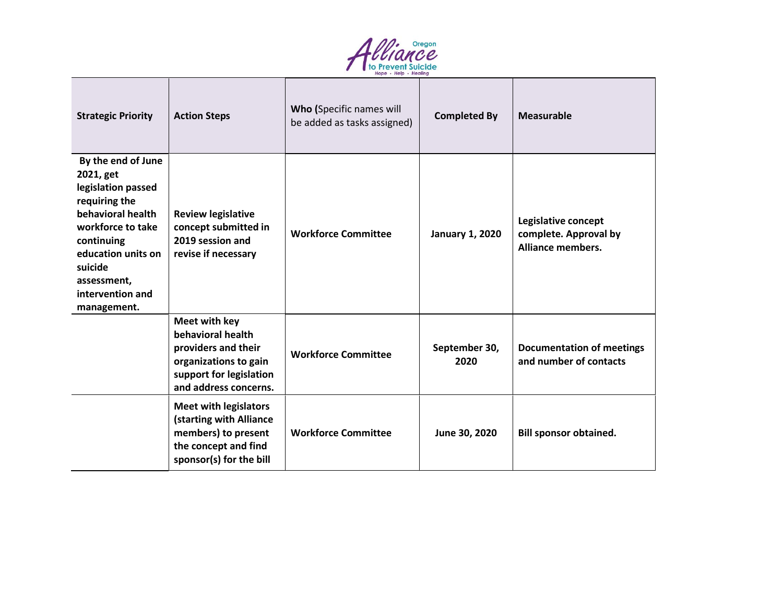

| <b>Strategic Priority</b>                                                                                                                                                                                         | <b>Action Steps</b>                                                                                                                    | Who (Specific names will<br>be added as tasks assigned) | <b>Completed By</b>    | Measurable                                                               |
|-------------------------------------------------------------------------------------------------------------------------------------------------------------------------------------------------------------------|----------------------------------------------------------------------------------------------------------------------------------------|---------------------------------------------------------|------------------------|--------------------------------------------------------------------------|
| By the end of June<br>2021, get<br>legislation passed<br>requiring the<br>behavioral health<br>workforce to take<br>continuing<br>education units on<br>suicide<br>assessment,<br>intervention and<br>management. | <b>Review legislative</b><br>concept submitted in<br>2019 session and<br>revise if necessary                                           | <b>Workforce Committee</b>                              | <b>January 1, 2020</b> | Legislative concept<br>complete. Approval by<br><b>Alliance members.</b> |
|                                                                                                                                                                                                                   | Meet with key<br>behavioral health<br>providers and their<br>organizations to gain<br>support for legislation<br>and address concerns. | <b>Workforce Committee</b>                              | September 30,<br>2020  | <b>Documentation of meetings</b><br>and number of contacts               |
|                                                                                                                                                                                                                   | <b>Meet with legislators</b><br>(starting with Alliance<br>members) to present<br>the concept and find<br>sponsor(s) for the bill      | <b>Workforce Committee</b>                              | June 30, 2020          | <b>Bill sponsor obtained.</b>                                            |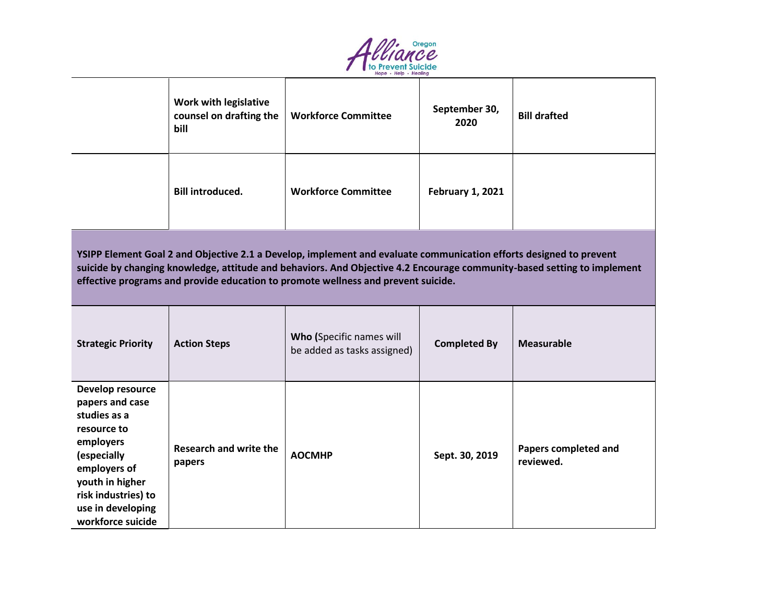

|                                                                                                                                                                                                                                                                                                                                    | <b>Work with legislative</b><br>counsel on drafting the<br>bill | <b>Workforce Committee</b>                              | September 30,<br>2020   | <b>Bill drafted</b>               |  |  |
|------------------------------------------------------------------------------------------------------------------------------------------------------------------------------------------------------------------------------------------------------------------------------------------------------------------------------------|-----------------------------------------------------------------|---------------------------------------------------------|-------------------------|-----------------------------------|--|--|
|                                                                                                                                                                                                                                                                                                                                    | <b>Bill introduced.</b>                                         | <b>Workforce Committee</b>                              | <b>February 1, 2021</b> |                                   |  |  |
| YSIPP Element Goal 2 and Objective 2.1 a Develop, implement and evaluate communication efforts designed to prevent<br>suicide by changing knowledge, attitude and behaviors. And Objective 4.2 Encourage community-based setting to implement<br>effective programs and provide education to promote wellness and prevent suicide. |                                                                 |                                                         |                         |                                   |  |  |
| <b>Strategic Priority</b>                                                                                                                                                                                                                                                                                                          | <b>Action Steps</b>                                             | Who (Specific names will<br>be added as tasks assigned) | <b>Completed By</b>     | <b>Measurable</b>                 |  |  |
| Develop resource<br>papers and case<br>studies as a<br>resource to<br>employers<br>(especially<br>employers of<br>youth in higher<br>risk industries) to<br>use in developing<br>workforce suicide                                                                                                                                 | <b>Research and write the</b><br>papers                         | <b>AOCMHP</b>                                           | Sept. 30, 2019          | Papers completed and<br>reviewed. |  |  |